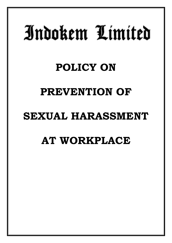# Indokem Limited

# **POLICY ON**

### **PREVENTION OF**

### **SEXUAL HARASSMENT**

## **AT WORKPLACE**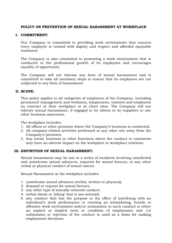#### **POLICY ON PREVENTION OF SEXUAL HARASSMENT AT WORKPLACE**

#### **I. COMMITMENT:**

Our Company is committed to providing work environment that ensures every employee is treated with dignity and respect and afforded equitable treatment.

The Company is also committed to promoting a work environment that is conducive to the professional growth of its employees and encourages equality of opportunity.

The Company will not tolerate any form of sexual harassment and is committed to take all necessary steps to ensure that its employees are not subjected to any form of harassment.

#### **II. SCOPE:**

This policy applies to all categories of employees of the Company, including permanent management and workmen, temporaries, trainees and employees on contract at their workplace or at client sites. The Company will not tolerate sexual harassment, if engaged in by clients or by suppliers or any other business associates.

The workplace includes:

- 1. All offices or other premises where the Company's business is conducted.
- 2. All company-related activities performed at any other site away from the Company's premises.
- 3. Any social, business or other functions where the conduct or comments may have an adverse impact on the workplace or workplace relations.

#### **III. DEFINITION OF SEXUAL HARASSMENT:**

Sexual harassment may be one or a series of incidents involving unsolicited and unwelcome sexual advances, requests for sexual favours, or any other verbal or physical conduct of sexual nature.

Sexual Harassment at the workplace includes:

- 1. unwelcome sexual advances (verbal, written or physical),
- 2. demand or request for sexual favours,
- 3. any other type of sexually-oriented conduct,
- 4. verbal abuse or 'joking' that is sex-oriented,
- 5. any conduct that has the purpose or the effect of interfering with an individual's work performance or creating an intimidating, hostile or offensive work environment and/or submission to such conduct is either an explicit or implicit term or condition of employment and /or submission or rejection of the conduct is used as a basis for making employment decisions.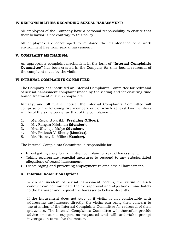#### **IV.RESPONSIBILITIES REGARDING SEXUAL HARASSMENT:**

All employees of the Company have a personal responsibility to ensure that their behavior is not contrary to this policy.

All employees are encouraged to reinforce the maintenance of a work environment free from sexual harassment.

#### **V. COMPLAINT MECHANISM:**

An appropriate complaint mechanism in the form of **"Internal Complaints Committee"** has been created in the Company for time-bound redressal of the complaint made by the victim.

#### **VI.INTERNAL COMPLAINTS COMMITTEE:**

The Company has instituted an Internal Complaints Committee for redressal of sexual harassment complaint (made by the victim) and for ensuring time bound treatment of such complaints.

Initially, and till further notice, the Internal Complaints Committee will comprise of the following five members out of which at least two members will be of the same gender as that of the complainant:

- 1. Ms. Rupal B Parikh **(Presiding Officer).**
- 2. Mr. Rangan Krishnan **(Member).**
- 3. Mrs. Shailaja Mulye **(Member).**
- 4. Mr. Prakash V. Shetty **(Member).**
- 5. Ms. Hutoxy D. Miller **(Member).**

The Internal Complaints Committee is responsible for:

- Investigating every formal written complaint of sexual harassment.
- Taking appropriate remedial measures to respond to any substantiated allegations of sexual harassment.
- Discouraging and preventing employment-related sexual harassment.

#### **A. Informal Resolution Options**

When an incident of sexual harassment occurs, the victim of such conduct can communicate their disapproval and objections immediately to the harasser and request the harasser to behave decently.

If the harassment does not stop or if victim is not comfortable with addressing the harasser directly, the victim can bring their concern to the attention of the Internal Complaints Committee for redressal of their grievances. The Internal Complaints Committee will thereafter provide advice or extend support as requested and will undertake prompt investigation to resolve the matter.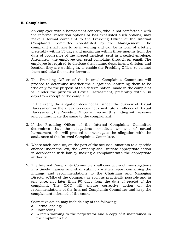#### **B. Complaints**:

- 1. An employee with a harassment concern, who is not comfortable with the informal resolution options or has exhausted such options, may make a formal complaint to the Presiding Officer of the Internal Complaints Committee constituted by the Management. The complaint shall have to be in writing and can be in form of a letter, preferably within 15 days and maximum within three months from the date of occurrence of the alleged incident, sent in a sealed envelope. Alternately, the employee can send complaint through an email. The employee is required to disclose their name, department, division and location they are working in, to enable the Presiding Officer to contact them and take the matter forward.
- 2. The Presiding Officer of the Internal Complaints Committee will proceed to determine whether the allegations (assuming them to be true only for the purpose of this determination) made in the complaint fall under the purview of Sexual Harassment, preferably within 30 days from receipt of the complaint.

In the event, the allegation does not fall under the purview of Sexual Harassment or the allegation does not constitute an offence of Sexual Harassment, the Presiding Officer will record this finding with reasons and communicate the same to the complainant.

- 3. If the Presiding Officer of the Internal Complaints Committee determines that the allegations constitute an act of sexual harassment, she will proceed to investigate the allegation with the assistance of the Internal Complaints Committee.
- 4. Where such conduct, on the part of the accused, amounts to a specific offence under the law, the Company shall initiate appropriate action in accordance with law by making a complaint with the appropriate authority.
- 5. The Internal Complaints Committee shall conduct such investigations in a timely manner and shall submit a written report containing the findings and recommendations to the Chairman and Managing Director (CMD) of the Company as soon as practically possible and in any case, not later than 90 days from the date of receipt of the complaint. The CMD will ensure corrective action on the recommendations of the Internal Complaints Committee and keep the complainant informed of the same.

Corrective action may include any of the following:

- a. Formal apology
- b. Counseling
- c. Written warning to the perpetrator and a copy of it maintained in the employee's file.